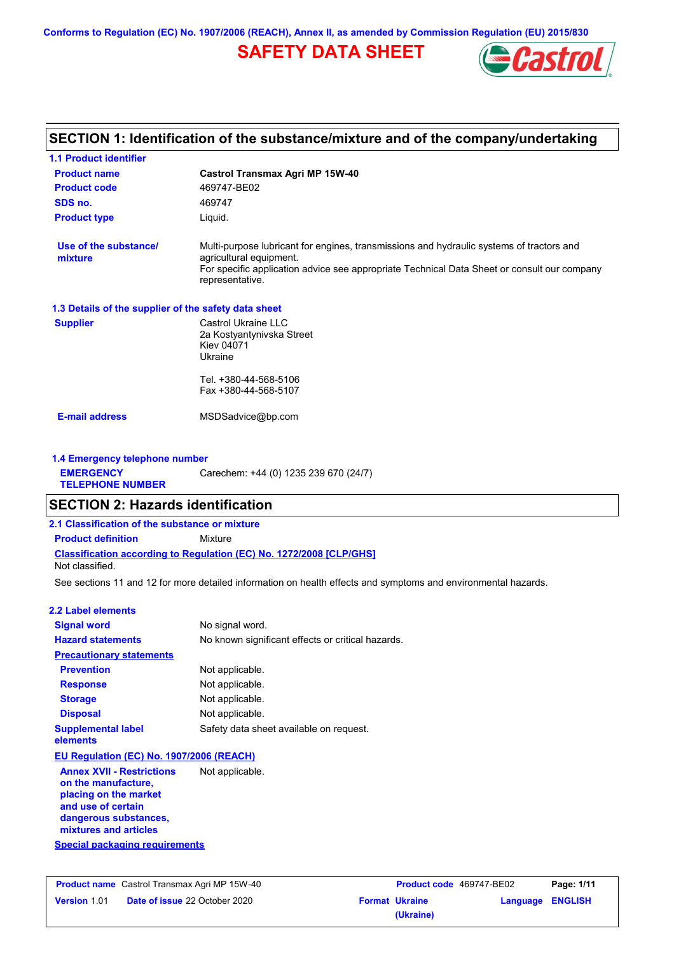**Conforms to Regulation (EC) No. 1907/2006 (REACH), Annex II, as amended by Commission Regulation (EU) 2015/830**

# **SAFETY DATA SHEET**



## **SECTION 1: Identification of the substance/mixture and of the company/undertaking**

| <b>1.1 Product identifier</b>                        |                                                                                                                                                                                                                                       |
|------------------------------------------------------|---------------------------------------------------------------------------------------------------------------------------------------------------------------------------------------------------------------------------------------|
| <b>Product name</b>                                  | <b>Castrol Transmax Agri MP 15W-40</b>                                                                                                                                                                                                |
| <b>Product code</b>                                  | 469747-BE02                                                                                                                                                                                                                           |
| SDS no.                                              | 469747                                                                                                                                                                                                                                |
| <b>Product type</b>                                  | Liquid.                                                                                                                                                                                                                               |
| Use of the substance/<br>mixture                     | Multi-purpose lubricant for engines, transmissions and hydraulic systems of tractors and<br>agricultural equipment.<br>For specific application advice see appropriate Technical Data Sheet or consult our company<br>representative. |
| 1.3 Details of the supplier of the safety data sheet |                                                                                                                                                                                                                                       |
| <b>Supplier</b>                                      | Castrol Ukraine LLC<br>2a Kostyantynivska Street<br>Kiev 04071<br>Ukraine                                                                                                                                                             |
|                                                      | Tel. +380-44-568-5106<br>Fax +380-44-568-5107                                                                                                                                                                                         |
| <b>E-mail address</b>                                | MSDSadvice@bp.com                                                                                                                                                                                                                     |

#### **1.4 Emergency telephone number EMERGENCY TELEPHONE NUMBER** Carechem: +44 (0) 1235 239 670 (24/7)

## **SECTION 2: Hazards identification**

**2.1 Classification of the substance or mixture**

**Classification according to Regulation (EC) No. 1272/2008 [CLP/GHS] Product definition** Mixture Not classified.

See sections 11 and 12 for more detailed information on health effects and symptoms and environmental hazards.

#### **2.2 Label elements**

| <b>Signal word</b>                                                                                                                                       | No signal word.                                   |
|----------------------------------------------------------------------------------------------------------------------------------------------------------|---------------------------------------------------|
| <b>Hazard statements</b>                                                                                                                                 | No known significant effects or critical hazards. |
| <b>Precautionary statements</b>                                                                                                                          |                                                   |
| <b>Prevention</b>                                                                                                                                        | Not applicable.                                   |
| <b>Response</b>                                                                                                                                          | Not applicable.                                   |
| <b>Storage</b>                                                                                                                                           | Not applicable.                                   |
| <b>Disposal</b>                                                                                                                                          | Not applicable.                                   |
| <b>Supplemental label</b><br>elements                                                                                                                    | Safety data sheet available on request.           |
| EU Regulation (EC) No. 1907/2006 (REACH)                                                                                                                 |                                                   |
| <b>Annex XVII - Restrictions</b><br>on the manufacture,<br>placing on the market<br>and use of certain<br>dangerous substances,<br>mixtures and articles | Not applicable.                                   |

**Special packaging requirements**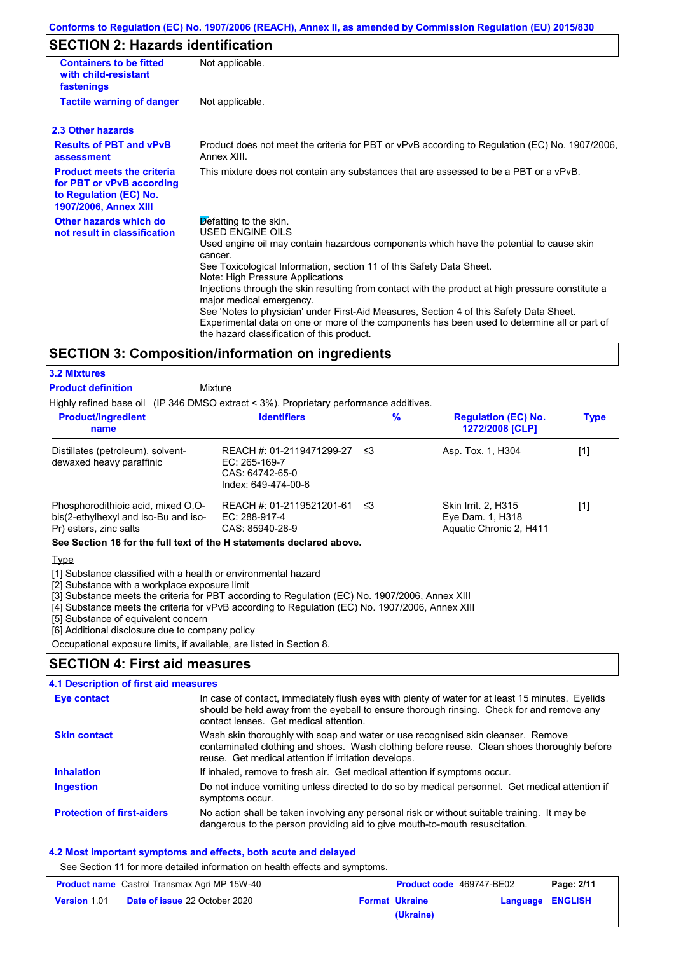# **SECTION 2: Hazards identification**

| <b>Containers to be fitted</b><br>with child-resistant<br>fastenings                                                     | Not applicable.                                                                                                                                                                                                                                                                                                                                                                                                                                                                                                                                                                                                                                               |
|--------------------------------------------------------------------------------------------------------------------------|---------------------------------------------------------------------------------------------------------------------------------------------------------------------------------------------------------------------------------------------------------------------------------------------------------------------------------------------------------------------------------------------------------------------------------------------------------------------------------------------------------------------------------------------------------------------------------------------------------------------------------------------------------------|
| <b>Tactile warning of danger</b>                                                                                         | Not applicable.                                                                                                                                                                                                                                                                                                                                                                                                                                                                                                                                                                                                                                               |
| 2.3 Other hazards                                                                                                        |                                                                                                                                                                                                                                                                                                                                                                                                                                                                                                                                                                                                                                                               |
| <b>Results of PBT and vPvB</b><br>assessment                                                                             | Product does not meet the criteria for PBT or vPvB according to Regulation (EC) No. 1907/2006,<br>Annex XIII.                                                                                                                                                                                                                                                                                                                                                                                                                                                                                                                                                 |
| <b>Product meets the criteria</b><br>for PBT or vPvB according<br>to Regulation (EC) No.<br><b>1907/2006, Annex XIII</b> | This mixture does not contain any substances that are assessed to be a PBT or a vPvB.                                                                                                                                                                                                                                                                                                                                                                                                                                                                                                                                                                         |
| Other hazards which do<br>not result in classification                                                                   | $\triangleright$ efatting to the skin.<br><b>USED ENGINE OILS</b><br>Used engine oil may contain hazardous components which have the potential to cause skin<br>cancer.<br>See Toxicological Information, section 11 of this Safety Data Sheet.<br>Note: High Pressure Applications<br>Injections through the skin resulting from contact with the product at high pressure constitute a<br>major medical emergency.<br>See 'Notes to physician' under First-Aid Measures, Section 4 of this Safety Data Sheet.<br>Experimental data on one or more of the components has been used to determine all or part of<br>the hazard classification of this product. |

## **SECTION 3: Composition/information on ingredients**

## **3.2 Mixtures**

**Product definition**

Mixture

Highly refined base oil (IP 346 DMSO extract < 3%). Proprietary performance additives.

| <b>Product/ingredient</b><br>name                                                                    | <b>Identifiers</b>                                                                   | %   | <b>Regulation (EC) No.</b><br>1272/2008 [CLP]                      | <b>Type</b> |
|------------------------------------------------------------------------------------------------------|--------------------------------------------------------------------------------------|-----|--------------------------------------------------------------------|-------------|
| Distillates (petroleum), solvent-<br>dewaxed heavy paraffinic                                        | REACH #: 01-2119471299-27<br>EC: 265-169-7<br>CAS: 64742-65-0<br>Index: 649-474-00-6 | -≤3 | Asp. Tox. 1, H304                                                  | [1]         |
| Phosphorodithioic acid, mixed O.O-<br>bis(2-ethylhexyl and iso-Bu and iso-<br>Pr) esters, zinc salts | REACH #: 01-2119521201-61<br>EC: 288-917-4<br>CAS: 85940-28-9                        | -≤3 | Skin Irrit. 2, H315<br>Eye Dam. 1, H318<br>Aquatic Chronic 2, H411 | [1]         |

### **See Section 16 for the full text of the H statements declared above.**

Type

[1] Substance classified with a health or environmental hazard

[2] Substance with a workplace exposure limit

[3] Substance meets the criteria for PBT according to Regulation (EC) No. 1907/2006, Annex XIII

[4] Substance meets the criteria for vPvB according to Regulation (EC) No. 1907/2006, Annex XIII

[5] Substance of equivalent concern

[6] Additional disclosure due to company policy

Occupational exposure limits, if available, are listed in Section 8.

## **SECTION 4: First aid measures**

### **4.1 Description of first aid measures**

| Eye contact                       | In case of contact, immediately flush eyes with plenty of water for at least 15 minutes. Eyelids<br>should be held away from the eyeball to ensure thorough rinsing. Check for and remove any<br>contact lenses. Get medical attention. |
|-----------------------------------|-----------------------------------------------------------------------------------------------------------------------------------------------------------------------------------------------------------------------------------------|
| <b>Skin contact</b>               | Wash skin thoroughly with soap and water or use recognised skin cleanser. Remove<br>contaminated clothing and shoes. Wash clothing before reuse. Clean shoes thoroughly before<br>reuse. Get medical attention if irritation develops.  |
| <b>Inhalation</b>                 | If inhaled, remove to fresh air. Get medical attention if symptoms occur.                                                                                                                                                               |
| <b>Ingestion</b>                  | Do not induce vomiting unless directed to do so by medical personnel. Get medical attention if<br>symptoms occur.                                                                                                                       |
| <b>Protection of first-aiders</b> | No action shall be taken involving any personal risk or without suitable training. It may be<br>dangerous to the person providing aid to give mouth-to-mouth resuscitation.                                                             |

### **4.2 Most important symptoms and effects, both acute and delayed**

See Section 11 for more detailed information on health effects and symptoms.

| <b>Product name</b> Castrol Transmax Agri MP 15W-40 |                                      | <b>Product code</b> 469747-BE02 |                       | Page: 2/11       |  |
|-----------------------------------------------------|--------------------------------------|---------------------------------|-----------------------|------------------|--|
| <b>Version 1.01</b>                                 | <b>Date of issue 22 October 2020</b> |                                 | <b>Format Ukraine</b> | Language ENGLISH |  |
|                                                     |                                      |                                 | (Ukraine)             |                  |  |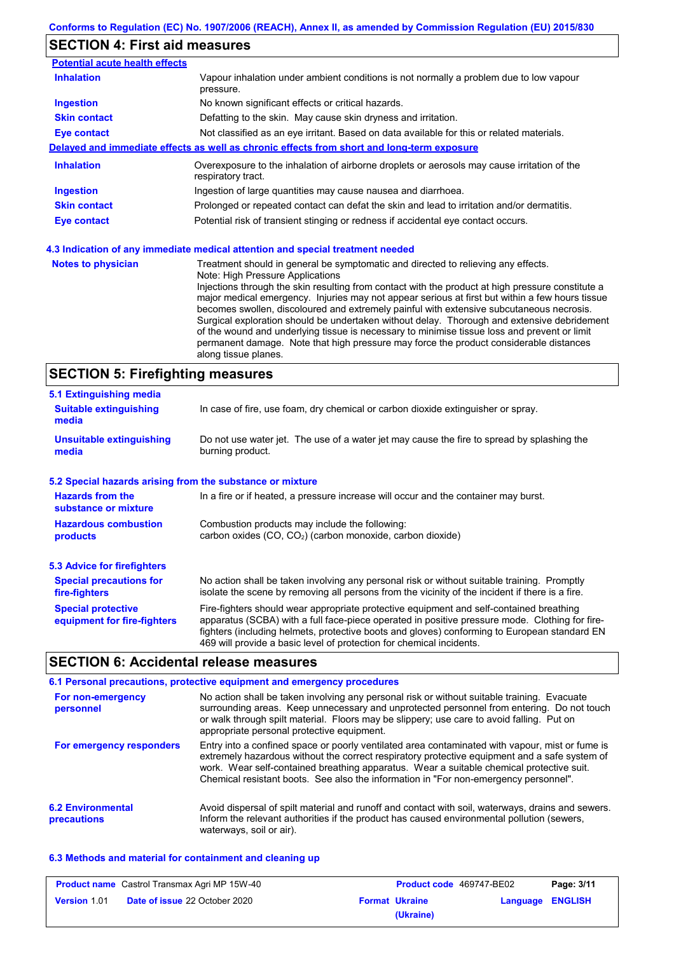# **SECTION 4: First aid measures**

| <b>Potential acute health effects</b> |                                                                                                                                                                                                                                                                                                                                                                                                                                                                                                                                                                                                                                                                                                                                            |  |  |
|---------------------------------------|--------------------------------------------------------------------------------------------------------------------------------------------------------------------------------------------------------------------------------------------------------------------------------------------------------------------------------------------------------------------------------------------------------------------------------------------------------------------------------------------------------------------------------------------------------------------------------------------------------------------------------------------------------------------------------------------------------------------------------------------|--|--|
| <b>Inhalation</b>                     | Vapour inhalation under ambient conditions is not normally a problem due to low vapour<br>pressure.                                                                                                                                                                                                                                                                                                                                                                                                                                                                                                                                                                                                                                        |  |  |
| <b>Ingestion</b>                      | No known significant effects or critical hazards.                                                                                                                                                                                                                                                                                                                                                                                                                                                                                                                                                                                                                                                                                          |  |  |
| <b>Skin contact</b>                   | Defatting to the skin. May cause skin dryness and irritation.                                                                                                                                                                                                                                                                                                                                                                                                                                                                                                                                                                                                                                                                              |  |  |
| <b>Eye contact</b>                    | Not classified as an eye irritant. Based on data available for this or related materials.                                                                                                                                                                                                                                                                                                                                                                                                                                                                                                                                                                                                                                                  |  |  |
|                                       | Delayed and immediate effects as well as chronic effects from short and long-term exposure                                                                                                                                                                                                                                                                                                                                                                                                                                                                                                                                                                                                                                                 |  |  |
| <b>Inhalation</b>                     | Overexposure to the inhalation of airborne droplets or aerosols may cause irritation of the<br>respiratory tract.                                                                                                                                                                                                                                                                                                                                                                                                                                                                                                                                                                                                                          |  |  |
| <b>Ingestion</b>                      | Ingestion of large quantities may cause nausea and diarrhoea.                                                                                                                                                                                                                                                                                                                                                                                                                                                                                                                                                                                                                                                                              |  |  |
| <b>Skin contact</b>                   | Prolonged or repeated contact can defat the skin and lead to irritation and/or dermatitis.                                                                                                                                                                                                                                                                                                                                                                                                                                                                                                                                                                                                                                                 |  |  |
| <b>Eye contact</b>                    | Potential risk of transient stinging or redness if accidental eye contact occurs.                                                                                                                                                                                                                                                                                                                                                                                                                                                                                                                                                                                                                                                          |  |  |
|                                       | 4.3 Indication of any immediate medical attention and special treatment needed                                                                                                                                                                                                                                                                                                                                                                                                                                                                                                                                                                                                                                                             |  |  |
| <b>Notes to physician</b>             | Treatment should in general be symptomatic and directed to relieving any effects.<br>Note: High Pressure Applications<br>Injections through the skin resulting from contact with the product at high pressure constitute a<br>major medical emergency. Injuries may not appear serious at first but within a few hours tissue<br>becomes swollen, discoloured and extremely painful with extensive subcutaneous necrosis.<br>Surgical exploration should be undertaken without delay. Thorough and extensive debridement<br>of the wound and underlying tissue is necessary to minimise tissue loss and prevent or limit<br>permanent damage. Note that high pressure may force the product considerable distances<br>along tissue planes. |  |  |

# **SECTION 5: Firefighting measures**

| 5.1 Extinguishing media                                   |                                                                                                                                                                                                                                                                                                                                                                   |  |  |  |
|-----------------------------------------------------------|-------------------------------------------------------------------------------------------------------------------------------------------------------------------------------------------------------------------------------------------------------------------------------------------------------------------------------------------------------------------|--|--|--|
| <b>Suitable extinguishing</b><br>media                    | In case of fire, use foam, dry chemical or carbon dioxide extinguisher or spray.                                                                                                                                                                                                                                                                                  |  |  |  |
| Unsuitable extinguishing<br>media                         | Do not use water jet. The use of a water jet may cause the fire to spread by splashing the<br>burning product.                                                                                                                                                                                                                                                    |  |  |  |
| 5.2 Special hazards arising from the substance or mixture |                                                                                                                                                                                                                                                                                                                                                                   |  |  |  |
| <b>Hazards from the</b><br>substance or mixture           | In a fire or if heated, a pressure increase will occur and the container may burst.                                                                                                                                                                                                                                                                               |  |  |  |
| <b>Hazardous combustion</b><br>products                   | Combustion products may include the following:<br>carbon oxides (CO, CO <sub>2</sub> ) (carbon monoxide, carbon dioxide)                                                                                                                                                                                                                                          |  |  |  |
| <b>5.3 Advice for firefighters</b>                        |                                                                                                                                                                                                                                                                                                                                                                   |  |  |  |
| <b>Special precautions for</b><br>fire-fighters           | No action shall be taken involving any personal risk or without suitable training. Promptly<br>isolate the scene by removing all persons from the vicinity of the incident if there is a fire.                                                                                                                                                                    |  |  |  |
| <b>Special protective</b><br>equipment for fire-fighters  | Fire-fighters should wear appropriate protective equipment and self-contained breathing<br>apparatus (SCBA) with a full face-piece operated in positive pressure mode. Clothing for fire-<br>fighters (including helmets, protective boots and gloves) conforming to European standard EN<br>469 will provide a basic level of protection for chemical incidents. |  |  |  |
|                                                           |                                                                                                                                                                                                                                                                                                                                                                   |  |  |  |

## **SECTION 6: Accidental release measures**

|                                         | 6.1 Personal precautions, protective equipment and emergency procedures                                                                                                                                                                                                                                                                                                              |
|-----------------------------------------|--------------------------------------------------------------------------------------------------------------------------------------------------------------------------------------------------------------------------------------------------------------------------------------------------------------------------------------------------------------------------------------|
| For non-emergency<br>personnel          | No action shall be taken involving any personal risk or without suitable training. Evacuate<br>surrounding areas. Keep unnecessary and unprotected personnel from entering. Do not touch<br>or walk through spilt material. Floors may be slippery; use care to avoid falling. Put on<br>appropriate personal protective equipment.                                                  |
| For emergency responders                | Entry into a confined space or poorly ventilated area contaminated with vapour, mist or fume is<br>extremely hazardous without the correct respiratory protective equipment and a safe system of<br>work. Wear self-contained breathing apparatus. Wear a suitable chemical protective suit.<br>Chemical resistant boots. See also the information in "For non-emergency personnel". |
| <b>6.2 Environmental</b><br>precautions | Avoid dispersal of spilt material and runoff and contact with soil, waterways, drains and sewers.<br>Inform the relevant authorities if the product has caused environmental pollution (sewers,<br>waterways, soil or air).                                                                                                                                                          |

### **6.3 Methods and material for containment and cleaning up**

| <b>Product name</b> Castrol Transmax Agri MP 15W-40 |                                      | <b>Product code</b> 469747-BE02 |                       | Page: 3/11       |  |
|-----------------------------------------------------|--------------------------------------|---------------------------------|-----------------------|------------------|--|
| Version 1.01                                        | <b>Date of issue 22 October 2020</b> |                                 | <b>Format Ukraine</b> | Language ENGLISH |  |
|                                                     |                                      |                                 | (Ukraine)             |                  |  |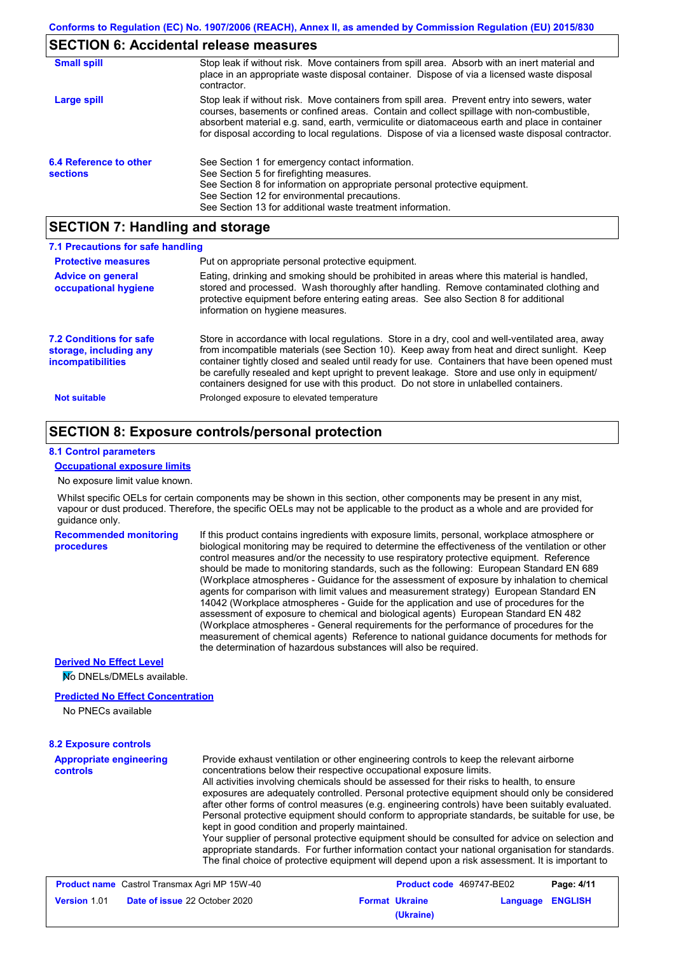## **SECTION 6: Accidental release measures**

| <b>Small spill</b>                        | Stop leak if without risk. Move containers from spill area. Absorb with an inert material and<br>place in an appropriate waste disposal container. Dispose of via a licensed waste disposal<br>contractor.                                                                                                                                                                                     |
|-------------------------------------------|------------------------------------------------------------------------------------------------------------------------------------------------------------------------------------------------------------------------------------------------------------------------------------------------------------------------------------------------------------------------------------------------|
| Large spill                               | Stop leak if without risk. Move containers from spill area. Prevent entry into sewers, water<br>courses, basements or confined areas. Contain and collect spillage with non-combustible,<br>absorbent material e.g. sand, earth, vermiculite or diatomaceous earth and place in container<br>for disposal according to local regulations. Dispose of via a licensed waste disposal contractor. |
| 6.4 Reference to other<br><b>sections</b> | See Section 1 for emergency contact information.<br>See Section 5 for firefighting measures.<br>See Section 8 for information on appropriate personal protective equipment.<br>See Section 12 for environmental precautions.<br>See Section 13 for additional waste treatment information.                                                                                                     |

## **SECTION 7: Handling and storage**

| 7.1 Precautions for safe handling                                                    |                                                                                                                                                                                                                                                                                                                                                                                                                                                                                          |
|--------------------------------------------------------------------------------------|------------------------------------------------------------------------------------------------------------------------------------------------------------------------------------------------------------------------------------------------------------------------------------------------------------------------------------------------------------------------------------------------------------------------------------------------------------------------------------------|
| <b>Protective measures</b>                                                           | Put on appropriate personal protective equipment.                                                                                                                                                                                                                                                                                                                                                                                                                                        |
| <b>Advice on general</b><br>occupational hygiene                                     | Eating, drinking and smoking should be prohibited in areas where this material is handled.<br>stored and processed. Wash thoroughly after handling. Remove contaminated clothing and<br>protective equipment before entering eating areas. See also Section 8 for additional<br>information on hygiene measures.                                                                                                                                                                         |
| <b>7.2 Conditions for safe</b><br>storage, including any<br><i>incompatibilities</i> | Store in accordance with local regulations. Store in a dry, cool and well-ventilated area, away<br>from incompatible materials (see Section 10). Keep away from heat and direct sunlight. Keep<br>container tightly closed and sealed until ready for use. Containers that have been opened must<br>be carefully resealed and kept upright to prevent leakage. Store and use only in equipment/<br>containers designed for use with this product. Do not store in unlabelled containers. |
| <b>Not suitable</b>                                                                  | Prolonged exposure to elevated temperature                                                                                                                                                                                                                                                                                                                                                                                                                                               |

## **SECTION 8: Exposure controls/personal protection**

#### **8.1 Control parameters**

#### **Occupational exposure limits**

No exposure limit value known.

Whilst specific OELs for certain components may be shown in this section, other components may be present in any mist, vapour or dust produced. Therefore, the specific OELs may not be applicable to the product as a whole and are provided for guidance only.

**Recommended monitoring procedures**

If this product contains ingredients with exposure limits, personal, workplace atmosphere or biological monitoring may be required to determine the effectiveness of the ventilation or other control measures and/or the necessity to use respiratory protective equipment. Reference should be made to monitoring standards, such as the following: European Standard EN 689 (Workplace atmospheres - Guidance for the assessment of exposure by inhalation to chemical agents for comparison with limit values and measurement strategy) European Standard EN 14042 (Workplace atmospheres - Guide for the application and use of procedures for the assessment of exposure to chemical and biological agents) European Standard EN 482 (Workplace atmospheres - General requirements for the performance of procedures for the measurement of chemical agents) Reference to national guidance documents for methods for the determination of hazardous substances will also be required.

#### **Derived No Effect Level**

No DNELs/DMELs available.

#### **Predicted No Effect Concentration**

No PNECs available

#### **8.2 Exposure controls**

**Appropriate engineering controls** Provide exhaust ventilation or other engineering controls to keep the relevant airborne concentrations below their respective occupational exposure limits. All activities involving chemicals should be assessed for their risks to health, to ensure exposures are adequately controlled. Personal protective equipment should only be considered after other forms of control measures (e.g. engineering controls) have been suitably evaluated. Personal protective equipment should conform to appropriate standards, be suitable for use, be kept in good condition and properly maintained. Your supplier of personal protective equipment should be consulted for advice on selection and appropriate standards. For further information contact your national organisation for standards. The final choice of protective equipment will depend upon a risk assessment. It is important to

| <b>Product name</b> Castrol Transmax Agri MP 15W-40 |                                      | <b>Product code</b> 469747-BE02 |                         | Page: 4/11 |
|-----------------------------------------------------|--------------------------------------|---------------------------------|-------------------------|------------|
| <b>Version 1.01</b>                                 | <b>Date of issue 22 October 2020</b> | <b>Format Ukraine</b>           | <b>Language ENGLISH</b> |            |
|                                                     |                                      | (Ukraine)                       |                         |            |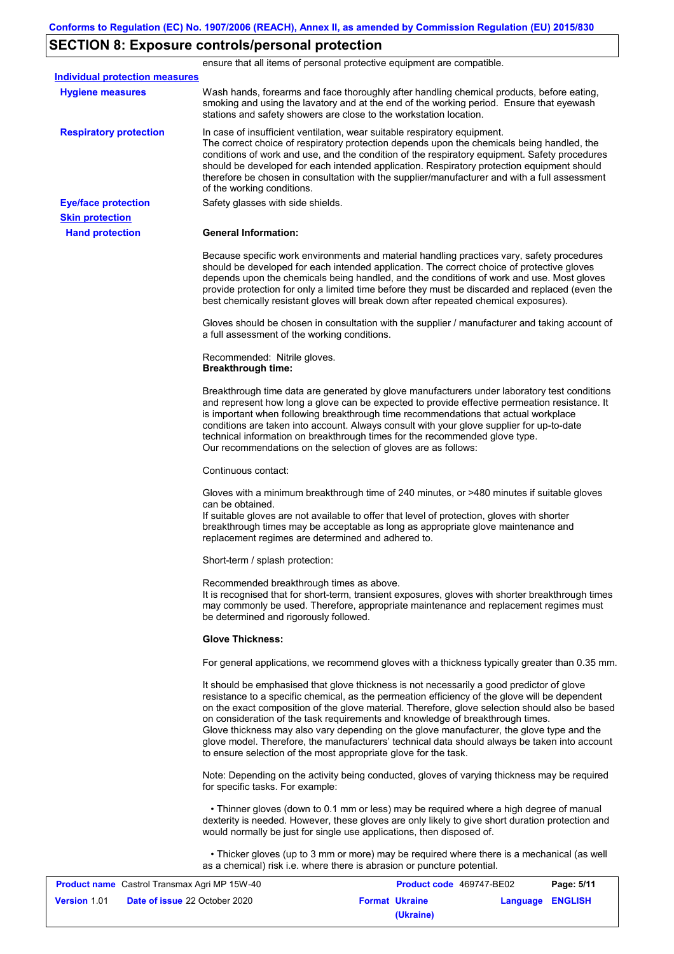## **SECTION 8: Exposure controls/personal protection**

**Hand protection** In case of insufficient ventilation, wear suitable respiratory equipment. The correct choice of respiratory protection depends upon the chemicals being handled, the conditions of work and use, and the condition of the respiratory equipment. Safety procedures should be developed for each intended application. Respiratory protection equipment should therefore be chosen in consultation with the supplier/manufacturer and with a full assessment of the working conditions. **General Information:** Because specific work environments and material handling practices vary, safety procedures should be developed for each intended application. The correct choice of protective gloves depends upon the chemicals being handled, and the conditions of work and use. Most gloves provide protection for only a limited time before they must be discarded and replaced (even the best chemically resistant gloves will break down after repeated chemical exposures). Gloves should be chosen in consultation with the supplier / manufacturer and taking account of a full assessment of the working conditions. Recommended: Nitrile gloves. **Breakthrough time:** Breakthrough time data are generated by glove manufacturers under laboratory test conditions and represent how long a glove can be expected to provide effective permeation resistance. It is important when following breakthrough time recommendations that actual workplace conditions are taken into account. Always consult with your glove supplier for up-to-date technical information on breakthrough times for the recommended glove type. Our recommendations on the selection of gloves are as follows: Continuous contact: Gloves with a minimum breakthrough time of 240 minutes, or >480 minutes if suitable gloves can be obtained. If suitable gloves are not available to offer that level of protection, gloves with shorter breakthrough times may be acceptable as long as appropriate glove maintenance and replacement regimes are determined and adhered to. Short-term / splash protection: Recommended breakthrough times as above. It is recognised that for short-term, transient exposures, gloves with shorter breakthrough times may commonly be used. Therefore, appropriate maintenance and replacement regimes must be determined and rigorously followed. **Glove Thickness:** For general applications, we recommend gloves with a thickness typically greater than 0.35 mm. It should be emphasised that glove thickness is not necessarily a good predictor of glove resistance to a specific chemical, as the permeation efficiency of the glove will be dependent on the exact composition of the glove material. Therefore, glove selection should also be based on consideration of the task requirements and knowledge of breakthrough times. Glove thickness may also vary depending on the glove manufacturer, the glove type and the glove model. Therefore, the manufacturers' technical data should always be taken into account to ensure selection of the most appropriate glove for the task. Note: Depending on the activity being conducted, gloves of varying thickness may be required for specific tasks. For example: • Thinner gloves (down to 0.1 mm or less) may be required where a high degree of manual dexterity is needed. However, these gloves are only likely to give short duration protection and would normally be just for single use applications, then disposed of. • Thicker gloves (up to 3 mm or more) may be required where there is a mechanical (as well as a chemical) risk i.e. where there is abrasion or puncture potential. **Eye/face protection** Safety glasses with side shields. **Respiratory protection Skin protection** ensure that all items of personal protective equipment are compatible. Wash hands, forearms and face thoroughly after handling chemical products, before eating, smoking and using the lavatory and at the end of the working period. Ensure that eyewash stations and safety showers are close to the workstation location. **Hygiene measures Individual protection measures**

| <b>Product name</b> Castrol Transmax Agri MP 15W-40 |                                      | <b>Product code</b> 469747-BE02 |                       | Page: 5/11              |  |
|-----------------------------------------------------|--------------------------------------|---------------------------------|-----------------------|-------------------------|--|
| <b>Version 1.01</b>                                 | <b>Date of issue 22 October 2020</b> |                                 | <b>Format Ukraine</b> | <b>Language ENGLISH</b> |  |
|                                                     |                                      |                                 | (Ukraine)             |                         |  |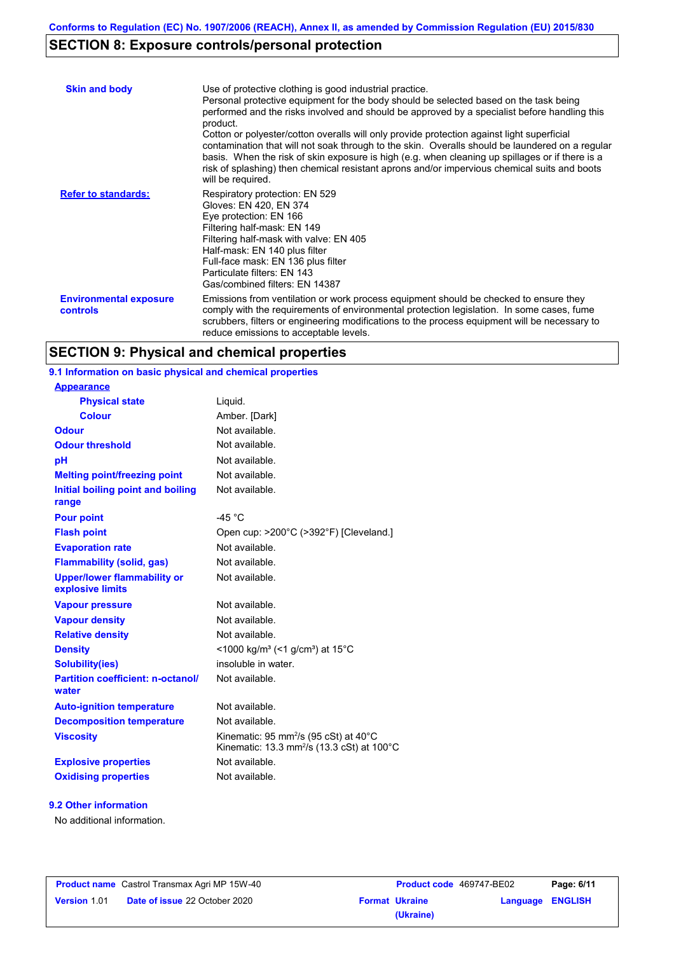# **SECTION 8: Exposure controls/personal protection**

| <b>Skin and body</b>                             | Use of protective clothing is good industrial practice.<br>Personal protective equipment for the body should be selected based on the task being<br>performed and the risks involved and should be approved by a specialist before handling this<br>product.<br>Cotton or polyester/cotton overalls will only provide protection against light superficial<br>contamination that will not soak through to the skin. Overalls should be laundered on a regular<br>basis. When the risk of skin exposure is high (e.g. when cleaning up spillages or if there is a<br>risk of splashing) then chemical resistant aprons and/or impervious chemical suits and boots<br>will be required. |
|--------------------------------------------------|---------------------------------------------------------------------------------------------------------------------------------------------------------------------------------------------------------------------------------------------------------------------------------------------------------------------------------------------------------------------------------------------------------------------------------------------------------------------------------------------------------------------------------------------------------------------------------------------------------------------------------------------------------------------------------------|
| <b>Refer to standards:</b>                       | Respiratory protection: EN 529<br>Gloves: EN 420, EN 374<br>Eye protection: EN 166<br>Filtering half-mask: EN 149<br>Filtering half-mask with valve: EN 405<br>Half-mask: EN 140 plus filter<br>Full-face mask: EN 136 plus filter<br>Particulate filters: EN 143<br>Gas/combined filters: EN 14387                                                                                                                                                                                                                                                                                                                                                                                   |
| <b>Environmental exposure</b><br><b>controls</b> | Emissions from ventilation or work process equipment should be checked to ensure they<br>comply with the requirements of environmental protection legislation. In some cases, fume<br>scrubbers, filters or engineering modifications to the process equipment will be necessary to<br>reduce emissions to acceptable levels.                                                                                                                                                                                                                                                                                                                                                         |

# **SECTION 9: Physical and chemical properties**

| 9.1 Information on basic physical and chemical properties |                                                                                                                        |
|-----------------------------------------------------------|------------------------------------------------------------------------------------------------------------------------|
| <b>Appearance</b>                                         |                                                                                                                        |
| <b>Physical state</b>                                     | Liquid.                                                                                                                |
| <b>Colour</b>                                             | Amber. [Dark]                                                                                                          |
| <b>Odour</b>                                              | Not available.                                                                                                         |
| <b>Odour threshold</b>                                    | Not available.                                                                                                         |
| pH                                                        | Not available.                                                                                                         |
| <b>Melting point/freezing point</b>                       | Not available.                                                                                                         |
| Initial boiling point and boiling<br>range                | Not available.                                                                                                         |
| <b>Pour point</b>                                         | $-45 °C$                                                                                                               |
| <b>Flash point</b>                                        | Open cup: >200°C (>392°F) [Cleveland.]                                                                                 |
| <b>Evaporation rate</b>                                   | Not available.                                                                                                         |
| <b>Flammability (solid, gas)</b>                          | Not available.                                                                                                         |
| <b>Upper/lower flammability or</b><br>explosive limits    | Not available.                                                                                                         |
| <b>Vapour pressure</b>                                    | Not available.                                                                                                         |
| <b>Vapour density</b>                                     | Not available.                                                                                                         |
| <b>Relative density</b>                                   | Not available.                                                                                                         |
| <b>Density</b>                                            | <1000 kg/m <sup>3</sup> (<1 g/cm <sup>3</sup> ) at 15 <sup>°</sup> C                                                   |
| <b>Solubility(ies)</b>                                    | insoluble in water.                                                                                                    |
| <b>Partition coefficient: n-octanol/</b><br>water         | Not available.                                                                                                         |
| <b>Auto-ignition temperature</b>                          | Not available.                                                                                                         |
| <b>Decomposition temperature</b>                          | Not available.                                                                                                         |
|                                                           |                                                                                                                        |
| <b>Viscosity</b>                                          | Kinematic: 95 mm <sup>2</sup> /s (95 cSt) at 40°C<br>Kinematic: 13.3 mm <sup>2</sup> /s (13.3 cSt) at 100 $^{\circ}$ C |
| <b>Explosive properties</b>                               | Not available.                                                                                                         |

#### **9.2 Other information**

No additional information.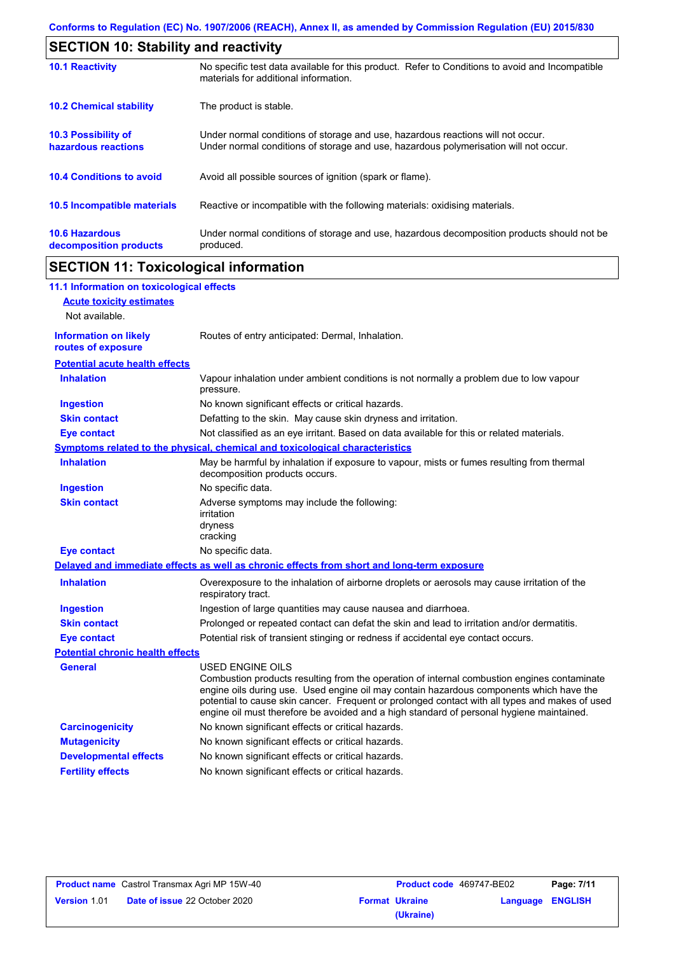| <b>SECTION 10: Stability and reactivity</b>       |                                                                                                                                                                         |  |  |  |
|---------------------------------------------------|-------------------------------------------------------------------------------------------------------------------------------------------------------------------------|--|--|--|
| <b>10.1 Reactivity</b>                            | No specific test data available for this product. Refer to Conditions to avoid and Incompatible<br>materials for additional information.                                |  |  |  |
| <b>10.2 Chemical stability</b>                    | The product is stable.                                                                                                                                                  |  |  |  |
| <b>10.3 Possibility of</b><br>hazardous reactions | Under normal conditions of storage and use, hazardous reactions will not occur.<br>Under normal conditions of storage and use, hazardous polymerisation will not occur. |  |  |  |
| <b>10.4 Conditions to avoid</b>                   | Avoid all possible sources of ignition (spark or flame).                                                                                                                |  |  |  |
| 10.5 Incompatible materials                       | Reactive or incompatible with the following materials: oxidising materials.                                                                                             |  |  |  |
| <b>10.6 Hazardous</b><br>decomposition products   | Under normal conditions of storage and use, hazardous decomposition products should not be<br>produced.                                                                 |  |  |  |

# **SECTION 11: Toxicological information**

| 11.1 Information on toxicological effects          |                                                                                                                                                                                                                                                                                                                                                                                                                 |
|----------------------------------------------------|-----------------------------------------------------------------------------------------------------------------------------------------------------------------------------------------------------------------------------------------------------------------------------------------------------------------------------------------------------------------------------------------------------------------|
| <b>Acute toxicity estimates</b>                    |                                                                                                                                                                                                                                                                                                                                                                                                                 |
| Not available.                                     |                                                                                                                                                                                                                                                                                                                                                                                                                 |
| <b>Information on likely</b><br>routes of exposure | Routes of entry anticipated: Dermal, Inhalation.                                                                                                                                                                                                                                                                                                                                                                |
| <b>Potential acute health effects</b>              |                                                                                                                                                                                                                                                                                                                                                                                                                 |
| <b>Inhalation</b>                                  | Vapour inhalation under ambient conditions is not normally a problem due to low vapour<br>pressure.                                                                                                                                                                                                                                                                                                             |
| <b>Ingestion</b>                                   | No known significant effects or critical hazards.                                                                                                                                                                                                                                                                                                                                                               |
| <b>Skin contact</b>                                | Defatting to the skin. May cause skin dryness and irritation.                                                                                                                                                                                                                                                                                                                                                   |
| <b>Eye contact</b>                                 | Not classified as an eye irritant. Based on data available for this or related materials.                                                                                                                                                                                                                                                                                                                       |
|                                                    | Symptoms related to the physical, chemical and toxicological characteristics                                                                                                                                                                                                                                                                                                                                    |
| <b>Inhalation</b>                                  | May be harmful by inhalation if exposure to vapour, mists or fumes resulting from thermal<br>decomposition products occurs.                                                                                                                                                                                                                                                                                     |
| <b>Ingestion</b>                                   | No specific data.                                                                                                                                                                                                                                                                                                                                                                                               |
| <b>Skin contact</b>                                | Adverse symptoms may include the following:<br>irritation<br>dryness<br>cracking                                                                                                                                                                                                                                                                                                                                |
| <b>Eye contact</b>                                 | No specific data.                                                                                                                                                                                                                                                                                                                                                                                               |
|                                                    | Delayed and immediate effects as well as chronic effects from short and long-term exposure                                                                                                                                                                                                                                                                                                                      |
| <b>Inhalation</b>                                  | Overexposure to the inhalation of airborne droplets or aerosols may cause irritation of the<br>respiratory tract.                                                                                                                                                                                                                                                                                               |
| <b>Ingestion</b>                                   | Ingestion of large quantities may cause nausea and diarrhoea.                                                                                                                                                                                                                                                                                                                                                   |
| <b>Skin contact</b>                                | Prolonged or repeated contact can defat the skin and lead to irritation and/or dermatitis.                                                                                                                                                                                                                                                                                                                      |
| <b>Eye contact</b>                                 | Potential risk of transient stinging or redness if accidental eye contact occurs.                                                                                                                                                                                                                                                                                                                               |
| <b>Potential chronic health effects</b>            |                                                                                                                                                                                                                                                                                                                                                                                                                 |
| <b>General</b>                                     | <b>USED ENGINE OILS</b><br>Combustion products resulting from the operation of internal combustion engines contaminate<br>engine oils during use. Used engine oil may contain hazardous components which have the<br>potential to cause skin cancer. Frequent or prolonged contact with all types and makes of used<br>engine oil must therefore be avoided and a high standard of personal hygiene maintained. |
| <b>Carcinogenicity</b>                             | No known significant effects or critical hazards.                                                                                                                                                                                                                                                                                                                                                               |
| <b>Mutagenicity</b>                                | No known significant effects or critical hazards.                                                                                                                                                                                                                                                                                                                                                               |
| <b>Developmental effects</b>                       | No known significant effects or critical hazards.                                                                                                                                                                                                                                                                                                                                                               |
| <b>Fertility effects</b>                           | No known significant effects or critical hazards.                                                                                                                                                                                                                                                                                                                                                               |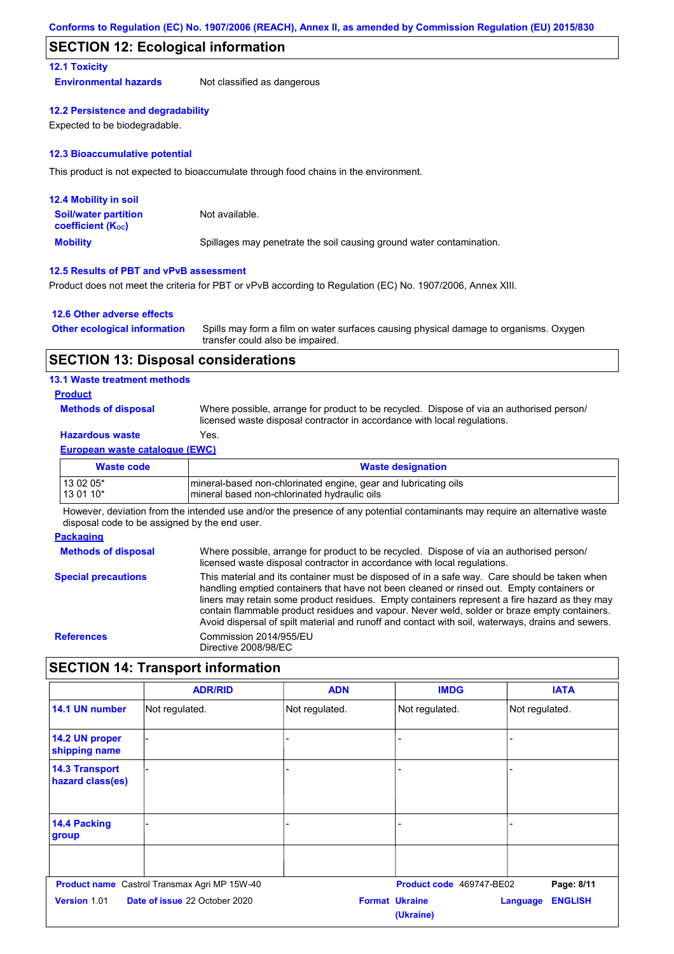## **SECTION 12: Ecological information**

#### **12.1 Toxicity**

**Environmental hazards** Not classified as dangerous

#### **12.2 Persistence and degradability**

Expected to be biodegradable.

#### **12.3 Bioaccumulative potential**

This product is not expected to bioaccumulate through food chains in the environment.

| <b>12.4 Mobility in soil</b>                            |                                                                      |
|---------------------------------------------------------|----------------------------------------------------------------------|
| <b>Soil/water partition</b><br><b>coefficient (Koc)</b> | Not available.                                                       |
| <b>Mobility</b>                                         | Spillages may penetrate the soil causing ground water contamination. |

#### **12.5 Results of PBT and vPvB assessment**

Product does not meet the criteria for PBT or vPvB according to Regulation (EC) No. 1907/2006, Annex XIII.

#### **12.6 Other adverse effects**

| <b>Other ecological information</b> | Spills may form a film on water surfaces causing physical damage to organisms. Oxygen |
|-------------------------------------|---------------------------------------------------------------------------------------|
|                                     | transfer could also be impaired.                                                      |

### **SECTION 13: Disposal considerations**

#### **13.1 Waste treatment methods**

### **Product**

**Methods of disposal**

Where possible, arrange for product to be recycled. Dispose of via an authorised person/ licensed waste disposal contractor in accordance with local regulations.

## **Hazardous waste** Yes.

#### **European waste catalogue (EWC)**

| <b>Waste code</b> | <b>Waste designation</b>                                         |
|-------------------|------------------------------------------------------------------|
| 13 02 05*         | Imineral-based non-chlorinated engine, gear and lubricating oils |
| 13 01 10*         | Imineral based non-chlorinated hydraulic oils                    |

However, deviation from the intended use and/or the presence of any potential contaminants may require an alternative waste disposal code to be assigned by the end user.

#### **Packaging**

**Methods of disposal Special precautions** Where possible, arrange for product to be recycled. Dispose of via an authorised person/ licensed waste disposal contractor in accordance with local regulations. This material and its container must be disposed of in a safe way. Care should be taken when handling emptied containers that have not been cleaned or rinsed out. Empty containers or liners may retain some product residues. Empty containers represent a fire hazard as they may contain flammable product residues and vapour. Never weld, solder or braze empty containers. Avoid dispersal of spilt material and runoff and contact with soil, waterways, drains and sewers. **References** Commission 2014/955/EU Directive 2008/98/EC

## **SECTION 14: Transport information**

|                                           | <b>ADR/RID</b>                                      | <b>ADN</b>     | <b>IMDG</b>                        | <b>IATA</b>                |
|-------------------------------------------|-----------------------------------------------------|----------------|------------------------------------|----------------------------|
| 14.1 UN number                            | Not regulated.                                      | Not regulated. | Not regulated.                     | Not regulated.             |
| 14.2 UN proper<br>shipping name           |                                                     |                |                                    |                            |
| <b>14.3 Transport</b><br>hazard class(es) |                                                     |                |                                    |                            |
| 14.4 Packing<br>group                     |                                                     |                |                                    |                            |
|                                           | <b>Product name</b> Castrol Transmax Agri MP 15W-40 |                | Product code 469747-BE02           | Page: 8/11                 |
| <b>Version 1.01</b>                       | <b>Date of issue 22 October 2020</b>                |                | <b>Format Ukraine</b><br>(Ukraine) | <b>ENGLISH</b><br>Language |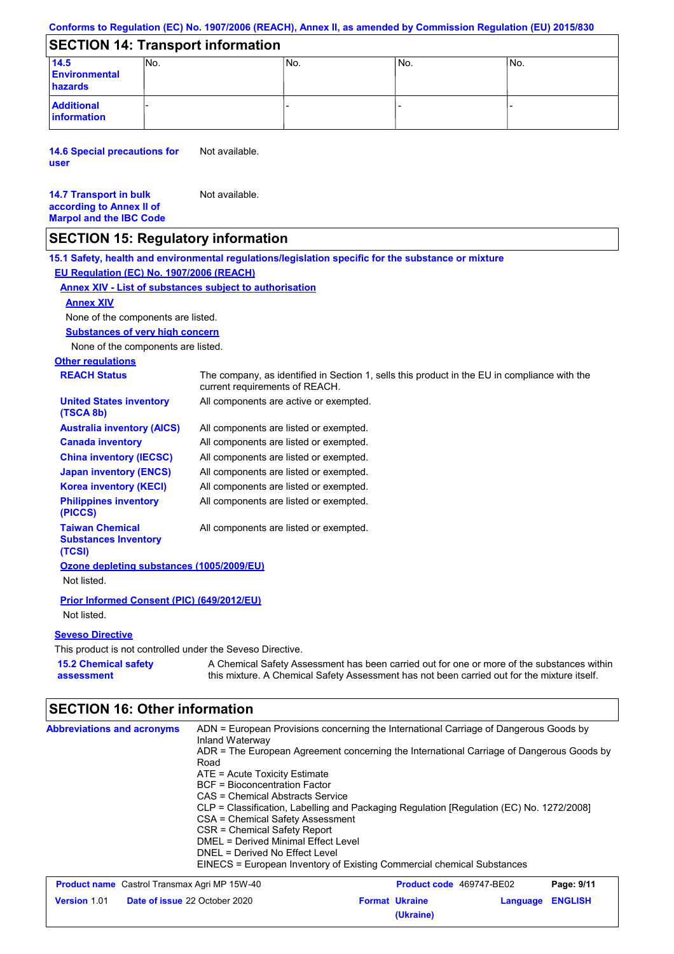#### **Conforms to Regulation (EC) No. 1907/2006 (REACH), Annex II, as amended by Commission Regulation (EU) 2015/830**

## **SECTION 14: Transport information**

| 14.5<br><b>Environmental</b><br>hazards | INo. | 'No. | No. | INo. |
|-----------------------------------------|------|------|-----|------|
| <b>Additional</b><br>information        |      |      |     |      |

**14.6 Special precautions for user** Not available.

#### **14.7 Transport in bulk according to Annex II of Marpol and the IBC Code** Not available.

## **SECTION 15: Regulatory information**

**Other regulations REACH Status** The company, as identified in Section 1, sells this product in the EU in compliance with the current requirements of REACH. **15.1 Safety, health and environmental regulations/legislation specific for the substance or mixture EU Regulation (EC) No. 1907/2006 (REACH) Annex XIV - List of substances subject to authorisation 15.2 Chemical safety Substances of very high concern** None of the components are listed. All components are listed or exempted. All components are listed or exempted. All components are listed or exempted. All components are listed or exempted. All components are active or exempted. All components are listed or exempted. All components are listed or exempted. **United States inventory (TSCA 8b) Australia inventory (AICS) Canada inventory China inventory (IECSC) Japan inventory (ENCS) Korea inventory (KECI) Philippines inventory (PICCS) Taiwan Chemical Substances Inventory (TCSI)** All components are listed or exempted. **Ozone depleting substances (1005/2009/EU)** Not listed. **Prior Informed Consent (PIC) (649/2012/EU)** Not listed. **Seveso Directive** This product is not controlled under the Seveso Directive. A Chemical Safety Assessment has been carried out for one or more of the substances within None of the components are listed. **Annex XIV**

## **SECTION 16: Other information**

**assessment**

| <b>Abbreviations and acronyms</b> | ADN = European Provisions concerning the International Carriage of Dangerous Goods by<br>Inland Waterway |
|-----------------------------------|----------------------------------------------------------------------------------------------------------|
|                                   | ADR = The European Agreement concerning the International Carriage of Dangerous Goods by                 |
|                                   | Road                                                                                                     |
|                                   | $ATE = Acute Toxicity Estimate$                                                                          |
|                                   | BCF = Bioconcentration Factor                                                                            |
|                                   | CAS = Chemical Abstracts Service                                                                         |
|                                   | CLP = Classification, Labelling and Packaging Regulation [Regulation (EC) No. 1272/2008]                 |
|                                   | CSA = Chemical Safety Assessment                                                                         |
|                                   | CSR = Chemical Safety Report                                                                             |
|                                   | DMEL = Derived Minimal Effect Level                                                                      |
|                                   | DNEL = Derived No Effect Level                                                                           |
|                                   | EINECS = European Inventory of Existing Commercial chemical Substances                                   |

this mixture. A Chemical Safety Assessment has not been carried out for the mixture itself.

| <b>Product name</b> Castrol Transmax Agri MP 15W-40 |                                      | <b>Product code</b> 469747-BE02 |                       | Page: 9/11       |  |
|-----------------------------------------------------|--------------------------------------|---------------------------------|-----------------------|------------------|--|
| Version 1.01                                        | <b>Date of issue 22 October 2020</b> |                                 | <b>Format Ukraine</b> | Language ENGLISH |  |
|                                                     |                                      |                                 | (Ukraine)             |                  |  |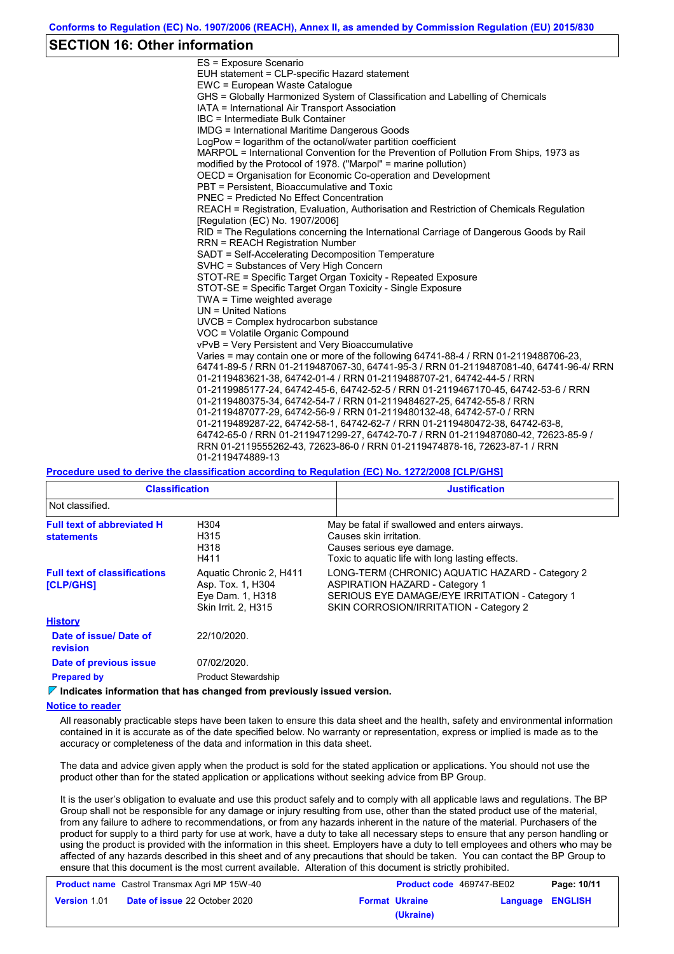## **SECTION 16: Other information**

| ES = Exposure Scenario                                                                                                                                          |
|-----------------------------------------------------------------------------------------------------------------------------------------------------------------|
| EUH statement = CLP-specific Hazard statement                                                                                                                   |
| EWC = European Waste Catalogue                                                                                                                                  |
| GHS = Globally Harmonized System of Classification and Labelling of Chemicals                                                                                   |
| IATA = International Air Transport Association                                                                                                                  |
| IBC = Intermediate Bulk Container                                                                                                                               |
| <b>IMDG = International Maritime Dangerous Goods</b>                                                                                                            |
| LogPow = logarithm of the octanol/water partition coefficient                                                                                                   |
| MARPOL = International Convention for the Prevention of Pollution From Ships, 1973 as                                                                           |
| modified by the Protocol of 1978. ("Marpol" = marine pollution)                                                                                                 |
| OECD = Organisation for Economic Co-operation and Development                                                                                                   |
| PBT = Persistent, Bioaccumulative and Toxic                                                                                                                     |
| <b>PNEC</b> = Predicted No Effect Concentration                                                                                                                 |
| REACH = Registration, Evaluation, Authorisation and Restriction of Chemicals Regulation                                                                         |
| [Requlation (EC) No. 1907/2006]                                                                                                                                 |
| RID = The Regulations concerning the International Carriage of Dangerous Goods by Rail                                                                          |
| <b>RRN = REACH Registration Number</b>                                                                                                                          |
| SADT = Self-Accelerating Decomposition Temperature                                                                                                              |
| SVHC = Substances of Very High Concern                                                                                                                          |
| STOT-RE = Specific Target Organ Toxicity - Repeated Exposure                                                                                                    |
| STOT-SE = Specific Target Organ Toxicity - Single Exposure                                                                                                      |
| TWA = Time weighted average                                                                                                                                     |
| $UN = United Nations$                                                                                                                                           |
| UVCB = Complex hydrocarbon substance                                                                                                                            |
| VOC = Volatile Organic Compound                                                                                                                                 |
| vPvB = Very Persistent and Very Bioaccumulative                                                                                                                 |
| Varies = may contain one or more of the following 64741-88-4 / RRN 01-2119488706-23,                                                                            |
| 64741-89-5 / RRN 01-2119487067-30, 64741-95-3 / RRN 01-2119487081-40, 64741-96-4/ RRN                                                                           |
| 01-2119483621-38, 64742-01-4 / RRN 01-2119488707-21, 64742-44-5 / RRN                                                                                           |
| 01-2119985177-24, 64742-45-6, 64742-52-5 / RRN 01-2119467170-45, 64742-53-6 / RRN                                                                               |
| 01-2119480375-34, 64742-54-7 / RRN 01-2119484627-25, 64742-55-8 / RRN                                                                                           |
| 01-2119487077-29, 64742-56-9 / RRN 01-2119480132-48, 64742-57-0 / RRN                                                                                           |
| 01-2119489287-22, 64742-58-1, 64742-62-7 / RRN 01-2119480472-38, 64742-63-8,                                                                                    |
| 64742-65-0 / RRN 01-2119471299-27, 64742-70-7 / RRN 01-2119487080-42, 72623-85-9 /<br>RRN 01-2119555262-43, 72623-86-0 / RRN 01-2119474878-16, 72623-87-1 / RRN |
|                                                                                                                                                                 |
| 01-2119474889-13                                                                                                                                                |

#### **Procedure used to derive the classification according to Regulation (EC) No. 1272/2008 [CLP/GHS]**

| <b>Classification</b>                                                                                                                           |                                                                                         | <b>Justification</b>                                                                                                                                                                 |
|-------------------------------------------------------------------------------------------------------------------------------------------------|-----------------------------------------------------------------------------------------|--------------------------------------------------------------------------------------------------------------------------------------------------------------------------------------|
| Not classified.                                                                                                                                 |                                                                                         |                                                                                                                                                                                      |
| <b>Full text of abbreviated H</b><br>H304<br>H315<br>Causes skin irritation.<br><b>statements</b><br>H318<br>Causes serious eye damage.<br>H411 |                                                                                         | May be fatal if swallowed and enters airways.<br>Toxic to aguatic life with long lasting effects.                                                                                    |
| <b>Full text of classifications</b><br><b>[CLP/GHS]</b>                                                                                         | Aquatic Chronic 2, H411<br>Asp. Tox. 1, H304<br>Eye Dam. 1, H318<br>Skin Irrit. 2, H315 | LONG-TERM (CHRONIC) AQUATIC HAZARD - Category 2<br><b>ASPIRATION HAZARD - Category 1</b><br>SERIOUS EYE DAMAGE/EYE IRRITATION - Category 1<br>SKIN CORROSION/IRRITATION - Category 2 |
| <b>History</b>                                                                                                                                  |                                                                                         |                                                                                                                                                                                      |
| Date of issue/ Date of<br><b>revision</b>                                                                                                       | 22/10/2020.                                                                             |                                                                                                                                                                                      |
| Date of previous issue                                                                                                                          | 07/02/2020.                                                                             |                                                                                                                                                                                      |
| <b>Prepared by</b>                                                                                                                              | <b>Product Stewardship</b>                                                              |                                                                                                                                                                                      |

### **Indicates information that has changed from previously issued version.**

#### **Notice to reader**

All reasonably practicable steps have been taken to ensure this data sheet and the health, safety and environmental information contained in it is accurate as of the date specified below. No warranty or representation, express or implied is made as to the accuracy or completeness of the data and information in this data sheet.

The data and advice given apply when the product is sold for the stated application or applications. You should not use the product other than for the stated application or applications without seeking advice from BP Group.

It is the user's obligation to evaluate and use this product safely and to comply with all applicable laws and regulations. The BP Group shall not be responsible for any damage or injury resulting from use, other than the stated product use of the material, from any failure to adhere to recommendations, or from any hazards inherent in the nature of the material. Purchasers of the product for supply to a third party for use at work, have a duty to take all necessary steps to ensure that any person handling or using the product is provided with the information in this sheet. Employers have a duty to tell employees and others who may be affected of any hazards described in this sheet and of any precautions that should be taken. You can contact the BP Group to ensure that this document is the most current available. Alteration of this document is strictly prohibited.

| <b>Product name</b> Castrol Transmax Agri MP 15W-40 |                                      | <b>Product code</b> 469747-BE02 |                       | Page: 10/11      |  |
|-----------------------------------------------------|--------------------------------------|---------------------------------|-----------------------|------------------|--|
| <b>Version 1.01</b>                                 | <b>Date of issue 22 October 2020</b> |                                 | <b>Format Ukraine</b> | Language ENGLISH |  |
|                                                     |                                      |                                 | (Ukraine)             |                  |  |